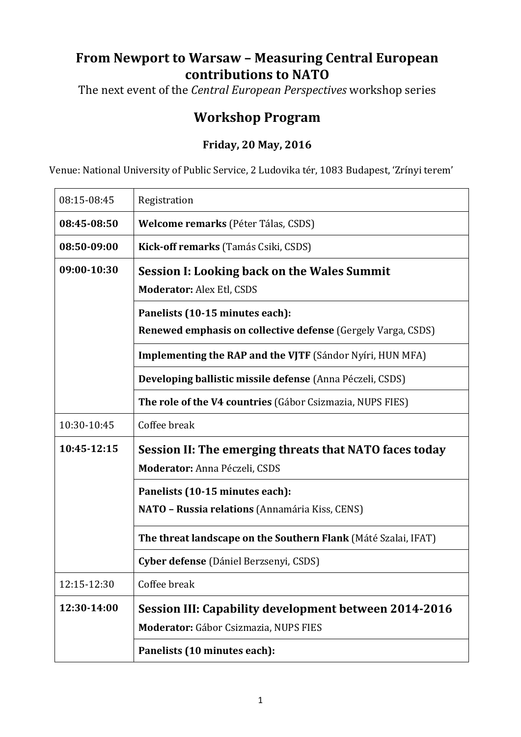## **From Newport to Warsaw – Measuring Central European contributions to NATO**

The next event of the *Central European Perspectives* workshop series

## **Workshop Program**

## **Friday, 20 May, 2016**

Venue: National University of Public Service, 2 Ludovika tér, 1083 Budapest, 'Zrínyi terem'

| 08:15-08:45 | Registration                                                        |
|-------------|---------------------------------------------------------------------|
| 08:45-08:50 | Welcome remarks (Péter Tálas, CSDS)                                 |
| 08:50-09:00 | Kick-off remarks (Tamás Csiki, CSDS)                                |
| 09:00-10:30 | <b>Session I: Looking back on the Wales Summit</b>                  |
|             | <b>Moderator: Alex Etl, CSDS</b>                                    |
|             | Panelists (10-15 minutes each):                                     |
|             | <b>Renewed emphasis on collective defense</b> (Gergely Varga, CSDS) |
|             | <b>Implementing the RAP and the VJTF (Sándor Nyíri, HUN MFA)</b>    |
|             | Developing ballistic missile defense (Anna Péczeli, CSDS)           |
|             | The role of the V4 countries (Gábor Csizmazia, NUPS FIES)           |
| 10:30-10:45 | Coffee break                                                        |
| 10:45-12:15 | Session II: The emerging threats that NATO faces today              |
|             | Moderator: Anna Péczeli, CSDS                                       |
|             | Panelists (10-15 minutes each):                                     |
|             | NATO - Russia relations (Annamária Kiss, CENS)                      |
|             | The threat landscape on the Southern Flank (Máté Szalai, IFAT)      |
|             | Cyber defense (Dániel Berzsenyi, CSDS)                              |
| 12:15-12:30 | Coffee break                                                        |
| 12:30-14:00 | <b>Session III: Capability development between 2014-2016</b>        |
|             | Moderator: Gábor Csizmazia, NUPS FIES                               |
|             | Panelists (10 minutes each):                                        |